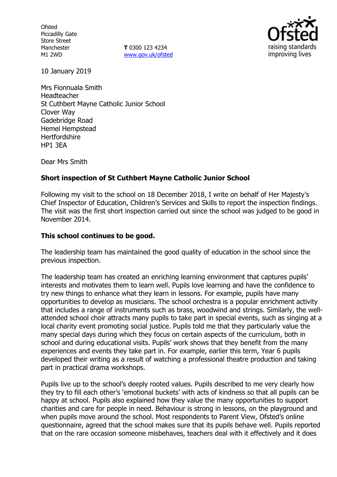**Ofsted** Piccadilly Gate Store Street Manchester M1 2WD

**T** 0300 123 4234 www.gov.uk/ofsted



10 January 2019

Mrs Fionnuala Smith Headteacher St Cuthbert Mayne Catholic Junior School Clover Way Gadebridge Road Hemel Hempstead **Hertfordshire** HP1 3EA

Dear Mrs Smith

### **Short inspection of St Cuthbert Mayne Catholic Junior School**

Following my visit to the school on 18 December 2018, I write on behalf of Her Majesty's Chief Inspector of Education, Children's Services and Skills to report the inspection findings. The visit was the first short inspection carried out since the school was judged to be good in November 2014.

## **This school continues to be good.**

The leadership team has maintained the good quality of education in the school since the previous inspection.

The leadership team has created an enriching learning environment that captures pupils' interests and motivates them to learn well. Pupils love learning and have the confidence to try new things to enhance what they learn in lessons. For example, pupils have many opportunities to develop as musicians. The school orchestra is a popular enrichment activity that includes a range of instruments such as brass, woodwind and strings. Similarly, the wellattended school choir attracts many pupils to take part in special events, such as singing at a local charity event promoting social justice. Pupils told me that they particularly value the many special days during which they focus on certain aspects of the curriculum, both in school and during educational visits. Pupils' work shows that they benefit from the many experiences and events they take part in. For example, earlier this term, Year 6 pupils developed their writing as a result of watching a professional theatre production and taking part in practical drama workshops.

Pupils live up to the school's deeply rooted values. Pupils described to me very clearly how they try to fill each other's 'emotional buckets' with acts of kindness so that all pupils can be happy at school. Pupils also explained how they value the many opportunities to support charities and care for people in need. Behaviour is strong in lessons, on the playground and when pupils move around the school. Most respondents to Parent View, Ofsted's online questionnaire, agreed that the school makes sure that its pupils behave well. Pupils reported that on the rare occasion someone misbehaves, teachers deal with it effectively and it does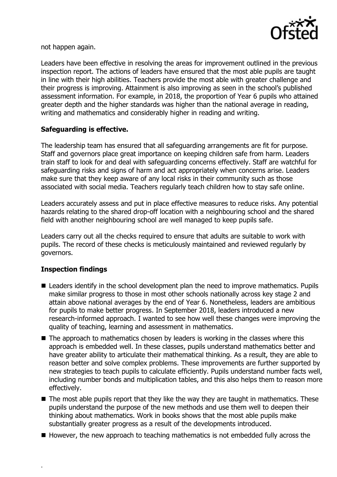

not happen again.

Leaders have been effective in resolving the areas for improvement outlined in the previous inspection report. The actions of leaders have ensured that the most able pupils are taught in line with their high abilities. Teachers provide the most able with greater challenge and their progress is improving. Attainment is also improving as seen in the school's published assessment information. For example, in 2018, the proportion of Year 6 pupils who attained greater depth and the higher standards was higher than the national average in reading, writing and mathematics and considerably higher in reading and writing.

# **Safeguarding is effective.**

The leadership team has ensured that all safeguarding arrangements are fit for purpose. Staff and governors place great importance on keeping children safe from harm. Leaders train staff to look for and deal with safeguarding concerns effectively. Staff are watchful for safeguarding risks and signs of harm and act appropriately when concerns arise. Leaders make sure that they keep aware of any local risks in their community such as those associated with social media. Teachers regularly teach children how to stay safe online.

Leaders accurately assess and put in place effective measures to reduce risks. Any potential hazards relating to the shared drop-off location with a neighbouring school and the shared field with another neighbouring school are well managed to keep pupils safe.

Leaders carry out all the checks required to ensure that adults are suitable to work with pupils. The record of these checks is meticulously maintained and reviewed regularly by governors.

### **Inspection findings**

.

- Leaders identify in the school development plan the need to improve mathematics. Pupils make similar progress to those in most other schools nationally across key stage 2 and attain above national averages by the end of Year 6. Nonetheless, leaders are ambitious for pupils to make better progress. In September 2018, leaders introduced a new research-informed approach. I wanted to see how well these changes were improving the quality of teaching, learning and assessment in mathematics.
- The approach to mathematics chosen by leaders is working in the classes where this approach is embedded well. In these classes, pupils understand mathematics better and have greater ability to articulate their mathematical thinking. As a result, they are able to reason better and solve complex problems. These improvements are further supported by new strategies to teach pupils to calculate efficiently. Pupils understand number facts well, including number bonds and multiplication tables, and this also helps them to reason more effectively.
- $\blacksquare$  The most able pupils report that they like the way they are taught in mathematics. These pupils understand the purpose of the new methods and use them well to deepen their thinking about mathematics. Work in books shows that the most able pupils make substantially greater progress as a result of the developments introduced.
- However, the new approach to teaching mathematics is not embedded fully across the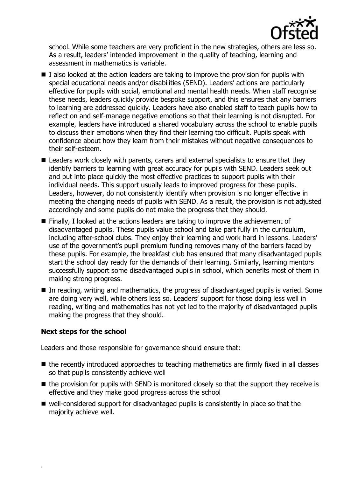

school. While some teachers are very proficient in the new strategies, others are less so. As a result, leaders' intended improvement in the quality of teaching, learning and assessment in mathematics is variable.

- $\blacksquare$  I also looked at the action leaders are taking to improve the provision for pupils with special educational needs and/or disabilities (SEND). Leaders' actions are particularly effective for pupils with social, emotional and mental health needs. When staff recognise these needs, leaders quickly provide bespoke support, and this ensures that any barriers to learning are addressed quickly. Leaders have also enabled staff to teach pupils how to reflect on and self-manage negative emotions so that their learning is not disrupted. For example, leaders have introduced a shared vocabulary across the school to enable pupils to discuss their emotions when they find their learning too difficult. Pupils speak with confidence about how they learn from their mistakes without negative consequences to their self-esteem.
- Leaders work closely with parents, carers and external specialists to ensure that they identify barriers to learning with great accuracy for pupils with SEND. Leaders seek out and put into place quickly the most effective practices to support pupils with their individual needs. This support usually leads to improved progress for these pupils. Leaders, however, do not consistently identify when provision is no longer effective in meeting the changing needs of pupils with SEND. As a result, the provision is not adjusted accordingly and some pupils do not make the progress that they should.
- Finally, I looked at the actions leaders are taking to improve the achievement of disadvantaged pupils. These pupils value school and take part fully in the curriculum, including after-school clubs. They enjoy their learning and work hard in lessons. Leaders' use of the government's pupil premium funding removes many of the barriers faced by these pupils. For example, the breakfast club has ensured that many disadvantaged pupils start the school day ready for the demands of their learning. Similarly, learning mentors successfully support some disadvantaged pupils in school, which benefits most of them in making strong progress.
- $\blacksquare$  In reading, writing and mathematics, the progress of disadvantaged pupils is varied. Some are doing very well, while others less so. Leaders' support for those doing less well in reading, writing and mathematics has not yet led to the majority of disadvantaged pupils making the progress that they should.

### **Next steps for the school**

.

Leaders and those responsible for governance should ensure that:

- the recently introduced approaches to teaching mathematics are firmly fixed in all classes so that pupils consistently achieve well
- $\blacksquare$  the provision for pupils with SEND is monitored closely so that the support they receive is effective and they make good progress across the school
- well-considered support for disadvantaged pupils is consistently in place so that the majority achieve well.